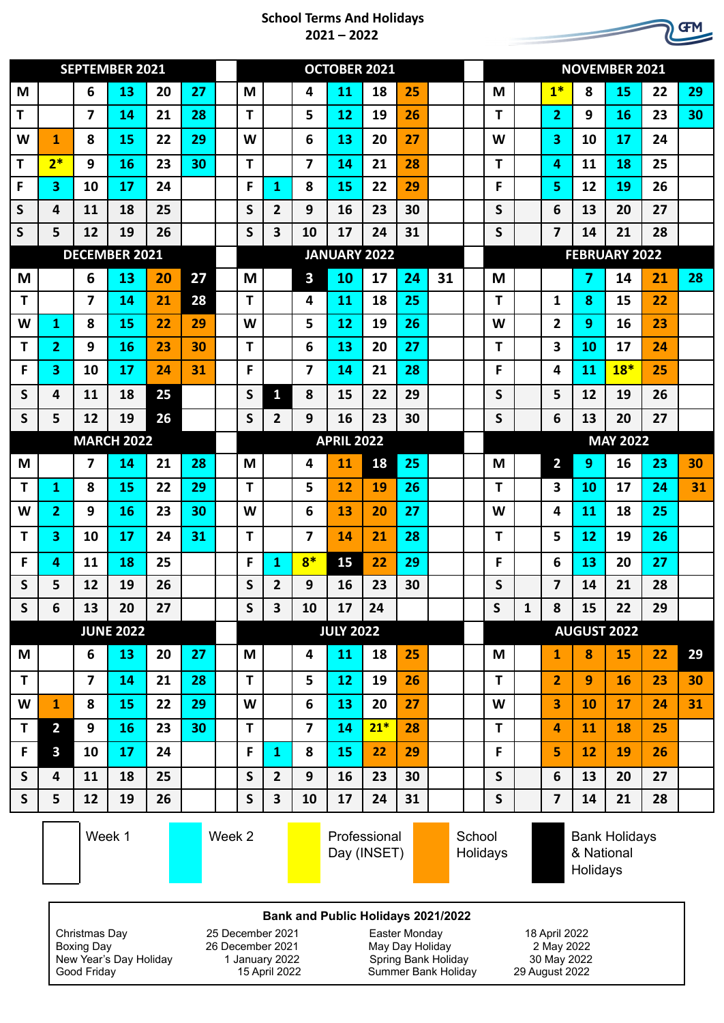## **School Terms And Holidays 2021 – 2022**

|                   | <b>SEPTEMBER 2021</b>   |                         |        |    |        | <b>OCTOBER 2021</b> |                  |                         |                |           |                             |    | <b>NOVEMBER 2021</b> |                    |                 |              |                                                |           |       |    |    |
|-------------------|-------------------------|-------------------------|--------|----|--------|---------------------|------------------|-------------------------|----------------|-----------|-----------------------------|----|----------------------|--------------------|-----------------|--------------|------------------------------------------------|-----------|-------|----|----|
| M                 |                         | 6                       | 13     | 20 | 27     |                     | M                |                         | 4              | 11        | 18                          | 25 |                      |                    | M               |              | $1*$                                           | 8         | 15    | 22 | 29 |
| т                 |                         | 7                       | 14     | 21 | 28     |                     | T                |                         | 5              | 12        | 19                          | 26 |                      |                    | т               |              | 2                                              | 9         | 16    | 23 | 30 |
| W                 | 1                       | 8                       | 15     | 22 | 29     |                     | W                |                         | 6              | 13        | 20                          | 27 |                      |                    | W               |              | 3                                              | 10        | 17    | 24 |    |
| T                 | $2*$                    | 9                       | 16     | 23 | 30     |                     | T                |                         | 7              | 14        | 21                          | 28 |                      |                    | T               |              | 4                                              | 11        | 18    | 25 |    |
| F                 | 3                       | 10                      | 17     | 24 |        |                     | F                | 1                       | 8              | 15        | 22                          | 29 |                      |                    | F.              |              | 5                                              | 12        | 19    | 26 |    |
| S                 | 4                       | 11                      | 18     | 25 |        |                     | S                | $\overline{2}$          | 9              | 16        | 23                          | 30 |                      |                    | S               |              | 6                                              | 13        | 20    | 27 |    |
| S                 | 5                       | 12                      | 19     | 26 |        |                     | S                | 3                       | 10             | 17        | 24                          | 31 |                      |                    | S               |              | $\overline{\mathbf{z}}$                        | 14        | 21    | 28 |    |
|                   | <b>DECEMBER 2021</b>    |                         |        |    |        | <b>JANUARY 2022</b> |                  |                         |                |           |                             |    | <b>FEBRUARY 2022</b> |                    |                 |              |                                                |           |       |    |    |
| M                 |                         | 6                       | 13     | 20 | 27     |                     | M                |                         | 3              | 10        | 17                          | 24 | 31                   |                    | M               |              |                                                | 7         | 14    | 21 | 28 |
| T                 |                         | 7                       | 14     | 21 | 28     |                     | T                |                         | 4              | <b>11</b> | 18                          | 25 |                      |                    | T               |              | 1                                              | 8         | 15    | 22 |    |
| W                 | 1                       | 8                       | 15     | 22 | 29     |                     | W                |                         | 5              | 12        | 19                          | 26 |                      |                    | W               |              | $\overline{\mathbf{2}}$                        | 9         | 16    | 23 |    |
| Т                 | 2                       | 9                       | 16     | 23 | 30     |                     | T                |                         | 6              | 13        | 20                          | 27 |                      |                    | т               |              | 3                                              | 10        | 17    | 24 |    |
| F                 | 3                       | 10                      | 17     | 24 | 31     |                     | F                |                         | 7              | 14        | 21                          | 28 |                      |                    | F               |              | 4                                              | 11        | $18*$ | 25 |    |
| S                 | 4                       | 11                      | 18     | 25 |        |                     | S                | $\mathbf{1}$            | 8              | 15        | 22                          | 29 |                      |                    | S               |              | 5                                              | 12        | 19    | 26 |    |
| S                 | 5                       | 12                      | 19     | 26 |        |                     | S                | $\overline{2}$          | 9              | 16        | 23                          | 30 |                      |                    | S               |              | 6                                              | 13        | 20    | 27 |    |
| <b>MARCH 2022</b> |                         |                         |        |    |        |                     |                  | <b>APRIL 2022</b>       |                |           |                             |    |                      |                    | <b>MAY 2022</b> |              |                                                |           |       |    |    |
| M                 |                         | 7                       | 14     | 21 | 28     |                     | M                |                         | 4              | 11        | 18                          | 25 |                      |                    | M               |              | $\overline{2}$                                 | 9         | 16    | 23 | 30 |
| Т                 | $\mathbf{1}$            | 8                       | 15     | 22 | 29     |                     | $\mathbf T$      |                         | 5              | 12        | 19                          | 26 |                      |                    | т               |              | $\overline{\mathbf{3}}$                        | 10        | 17    | 24 | 31 |
| W                 | 2                       | 9                       | 16     | 23 | 30     |                     | W                |                         | 6              | 13        | 20                          | 27 |                      |                    | W               |              | 4                                              | <b>11</b> | 18    | 25 |    |
| т                 | 3                       | 10                      | 17     | 24 | 31     |                     | T                |                         | 7              | 14        | 21                          | 28 |                      |                    | т               |              | 5                                              | 12        | 19    | 26 |    |
| F                 | 4                       | 11                      | 18     | 25 |        |                     | F                | 1                       | $8*$           | 15        | 22                          | 29 |                      |                    | F               |              | 6                                              | 13        | 20    | 27 |    |
| S                 | 5                       | 12                      | 19     | 26 |        |                     | S                | $\mathbf{2}$            | 9              | 16        | 23                          | 30 |                      |                    | S               |              | 7                                              | 14        | 21    | 28 |    |
| S                 | 6                       | 13                      | 20     | 27 |        |                     | $\mathsf S$      | $\overline{\mathbf{3}}$ | 10             | 17        | 24                          |    |                      |                    | $\mathsf{S}$    | $\mathbf{1}$ | 8                                              | 15        | 22    | 29 |    |
|                   | <b>JUNE 2022</b>        |                         |        |    |        |                     | <b>JULY 2022</b> |                         |                |           |                             |    |                      | <b>AUGUST 2022</b> |                 |              |                                                |           |       |    |    |
| M                 |                         | 6                       | 13     | 20 | 27     |                     | M                |                         | $\overline{4}$ | 11        | 18                          | 25 |                      |                    | M               |              | $\mathbf{1}$                                   | 8         | 15    | 22 | 29 |
| T                 |                         | $\overline{\mathbf{z}}$ | 14     | 21 | 28     |                     | $\mathbf{T}$     |                         | 5              | 12        | 19                          | 26 |                      |                    | T               |              | $\overline{2}$                                 | 9         | 16    | 23 | 30 |
| W                 | $\mathbf{1}$            | 8                       | 15     | 22 | 29     |                     | W                |                         | $6\phantom{1}$ | 13        | 20                          | 27 |                      |                    | W               |              | 3                                              | 10        | 17    | 24 | 31 |
| T                 | $\overline{2}$          | 9                       | 16     | 23 | 30     |                     | T                |                         | $\overline{7}$ | 14        | $21*$                       | 28 |                      |                    | $\mathsf{T}$    |              | $\overline{4}$                                 | 11        | 18    | 25 |    |
| F                 | $\overline{\mathbf{3}}$ | 10                      | 17     | 24 |        |                     | F                | $\mathbf{1}$            | 8              | 15        | 22                          | 29 |                      |                    | F               |              | 5                                              | 12        | 19    | 26 |    |
| S                 | 4                       | 11                      | 18     | 25 |        |                     | $\mathsf{S}$     | $\overline{2}$          | 9              | 16        | 23                          | 30 |                      |                    | $\mathsf{S}$    |              | 6                                              | 13        | 20    | 27 |    |
| $\mathsf{S}$      | 5                       | 12                      | 19     | 26 |        |                     | $\mathsf{S}$     | $\overline{\mathbf{3}}$ | 10             | 17        | 24                          | 31 |                      |                    | $\mathsf{S}$    |              | $\overline{\mathbf{z}}$                        | 14        | 21    | 28 |    |
|                   |                         |                         | Week 1 |    | Week 2 |                     |                  |                         |                |           | Professional<br>Day (INSET) |    |                      | School<br>Holidays |                 |              | <b>Bank Holidays</b><br>& National<br>Holidays |           |       |    |    |

## **Bank and Public Holidays 2021/2022**

Christmas Day 25 December 2021 Easter Monday 18 April 2022 New Year's Day Holiday 1 January 2022 Spring Bank Holiday 30 May 2022<br>15 April 2022 Summer Bank Holiday 29 August 2022

Boxing Day 26 December 2021<br>
December 2021 May Day Holiday 2022<br>
1 January 2022 Spring Bank Holiday 30 May 2022<br>
15 April 2022 Summer Bank Holiday 29 August 2022 Summer Bank Holiday